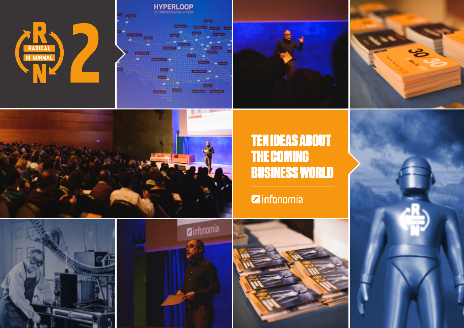



**Z**infonomia





#### **TEN IDEAS ABOUT THE COMING BUSINESS WORLD**

#### **Zinfonomia**





8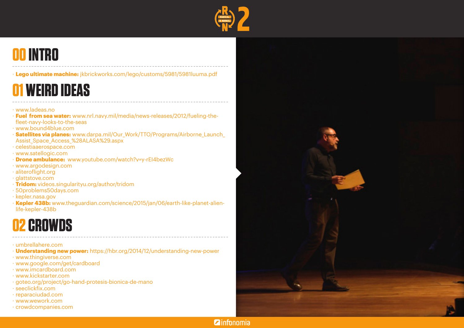

#### **00 INTRO**

· **Lego ultimate machine:** jkbrickworks.com/lego/customs/5981/5981luuma.pdf

### **01 WEIRD IDEAS**

#### · www.ladeas.no

- · **Fuel from sea water:** www.nrl.navy.mil/media/news-releases/2012/fueling-thefleet-navy-looks-to-the-seas
- · www.bound4blue.com
- · **Satellites via planes:** www.darpa.mil/Our\_Work/TTO/Programs/Airborne\_Launch\_ Assist\_Space\_Access\_%28ALASA%29.aspx
- · celestiaaerospace.com
- · www.satellogic.com
- · **Drone ambulance:** www.youtube.com/watch?v=y-rEI4bezWc
- · www.argodesign.com
- · aliteroflight.org
- · glattstove.com
- · **Tridom:** videos.singularityu.org/author/tridom
- · 50problems50days.com
- · kepler.nasa.gov
- · **Kepler 438b:** www.theguardian.com/science/2015/jan/06/earth-like-planet-alienlife-kepler-438b

#### **02 CROWDS**

- · umbrellahere.com
- · **Understanding new power:** https://hbr.org/2014/12/understanding-new-power
- · www.thingiverse.com
- · www.google.com/get/cardboard
- · www.imcardboard.com
- · www.kickstarter.com
- · goteo.org/project/go-hand-protesis-bionica-de-mano
- · seeclickfix.com
- · reparaciudad.com
- · www.wework.com
- · crowdcompanies.com



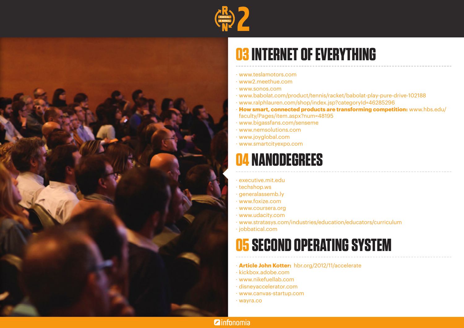



# **03 INTERNET OF EVERYTHING**

- · www.teslamotors.com
- · www2.meethue.com
- · www.sonos.com
- · www.babolat.com/product/tennis/racket/babolat-play-pure-drive-102188
- · www.ralphlauren.com/shop/index.jsp?categoryId=46285296
- · **How smart, connected products are transforming competition:** www.hbs.edu/ faculty/Pages/item.aspx?num=48195
- · www.bigassfans.com/senseme
- · www.nemsolutions.com
- · www.joyglobal.com
- · www.smartcityexpo.com

#### **04 NANODEGREES**

- · executive.mit.edu
- · techshop.ws
- · generalassemb.ly
- · www.foxize.com
- · www.coursera.org
- · www.udacity.com
- · www.stratasys.com/industries/education/educators/curriculum
- · jobbatical.com

### **05 SECOND OPERATING SYSTEM**

- · **Article John Kotter:** hbr.org/2012/11/accelerate
- · kickbox.adobe.com
- · www.nikefuellab.com
- · disneyaccelerator.com
- · www.canvas-startup.com
- · wayra.co

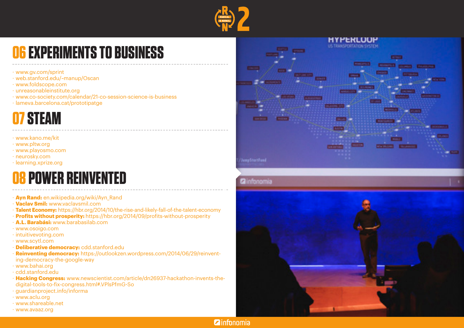

## **06 EXPERIMENTS TO BUSINESS**

- · www.gv.com/sprint
- · web.stanford.edu/~manup/Oscan
- · www.foldscope.com
- · unreasonableinstitute.org
- · www.co-society.com/calendar/21-co-session-science-is-business
- · lameva.barcelona.cat/prototipatge

#### **07 STEAM**

- · www.kano.me/kit
- · www.pltw.org
- · www.playosmo.com
- · neurosky.com
- · learning.xprize.org

### **08 POWER REINVENTED**

- · **Ayn Rand:** en.wikipedia.org/wiki/Ayn\_Rand
- · **Vaclav Smil:** www.vaclavsmil.com
- · **Talent Economy:** https://hbr.org/2014/10/the-rise-and-likely-fall-of-the-talent-economy
- · **Profits without prosperity:** https://hbr.org/2014/09/profits-without-prosperity
- · **A.L. Barabási:** www.barabasilab.com
- · www.osoigo.com
- · intuitivevoting.com
- · www.scytl.com
- · **Deliberative democracy:** cdd.stanford.edu
- · **Reinventing democracy:** https://outlookzen.wordpress.com/2014/06/29/reinventing-democracy-the-google-way
- · www.bahai.org
- · cdd.stanford.edu
- · **Hacking Congress:** www.newscientist.com/article/dn26937-hackathon-invents-thedigital-tools-to-fix-congress.html#.VPlsPfmG-So
- · guardianproject.info/informa
- · www.aclu.org
- · www.shareable.net
- · www.avaaz.org